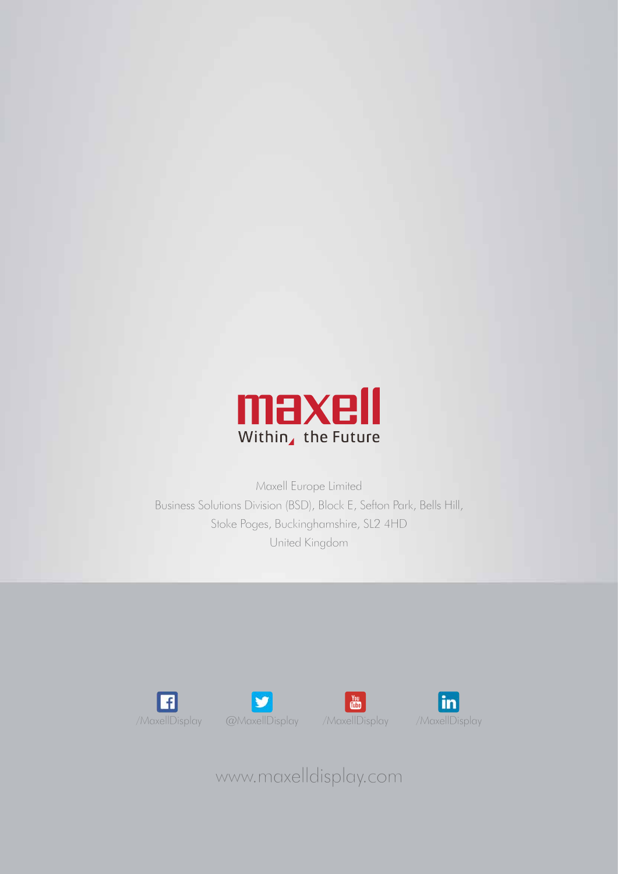

Maxell Europe Limited Business Solutions Division (BSD), Block E, Sefton Park, Bells Hill, Stoke Poges, Buckinghamshire, SL2 4HD United Kingdom









www.maxelldisplay.com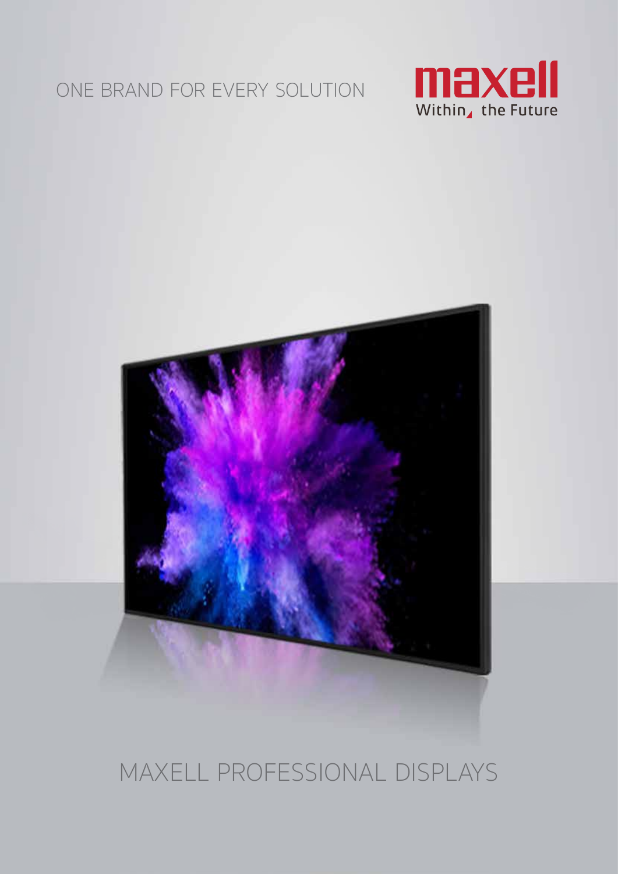#### ONE BRAND FOR EVERY SOLUTION





#### MAXELL PROFESSIONAL DISPLAYS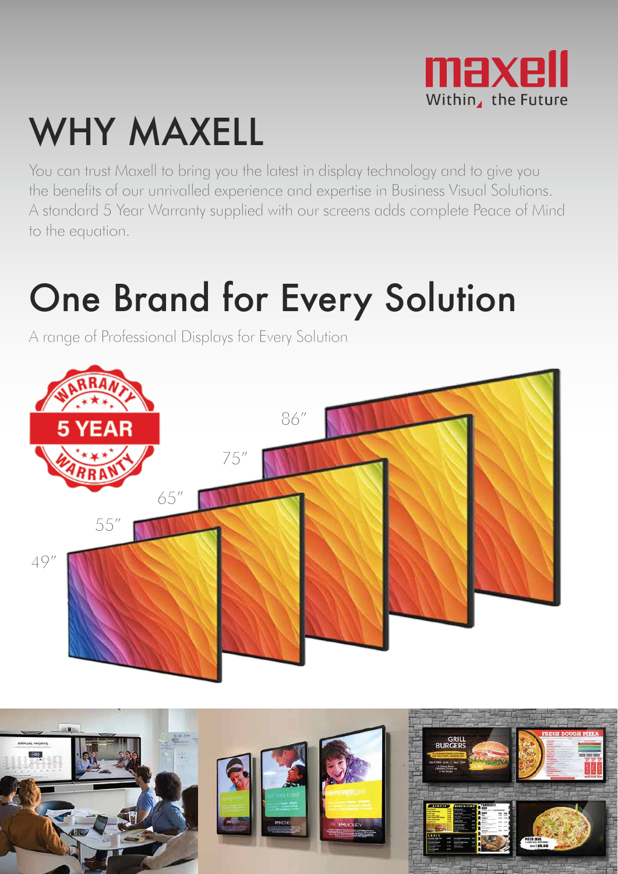

# WHY MAXELL

You can trust Maxell to bring you the latest in display technology and to give you the benefits of our unrivalled experience and expertise in Business Visual Solutions. A standard 5 Year Warranty supplied with our screens adds complete Peace of Mind to the equation.

## One Brand for Every Solution

A range of Professional Displays for Every Solution



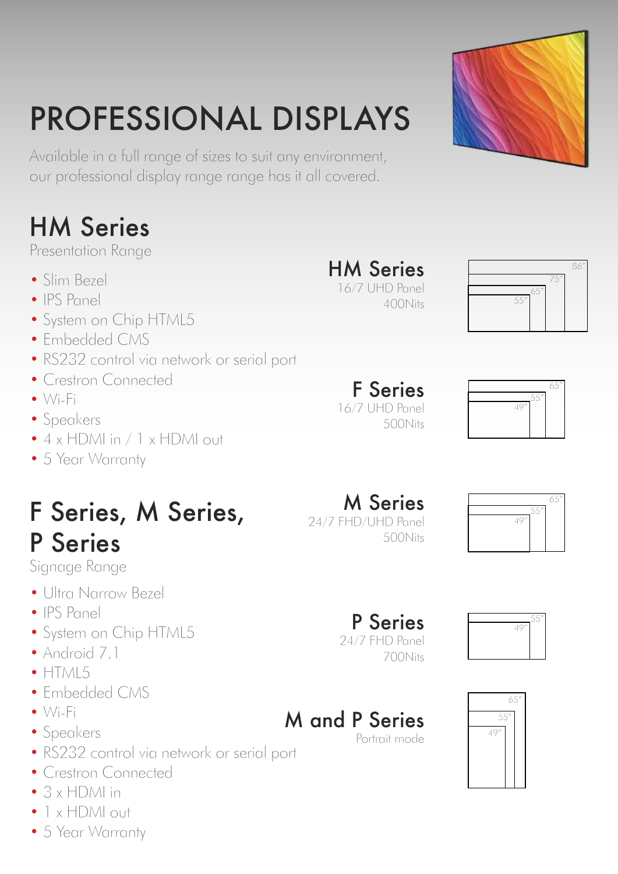# PROFESSIONAL DISPLAYS

Available in a full range of sizes to suit any environment, our professional display range range has it all covered.

#### HM Series

Presentation Range

- Slim Bezel
- IPS Panel
- System on Chip HTML5
- Embedded CMS
- RS232 control via network or serial port
- Crestron Connected
- $\bullet\ \forall i$ -Fi
- Speakers
- 4 x HDMI in / 1 x HDMI out
- 5 Year Warranty

#### F Series, M Series, P Series

Signage Range

- Ultra Narrow Bezel
- IPS Panel
- System on Chip HTML5
- Android 7.1
- $\bullet$  HTML5
- Embedded CMS
- Wi-Fi
- Speakers
- RS232 control via network or serial port
- Crestron Connected
- 3 x HDMI in
- 1 x HDMI out
- 5 Year Warranty

#### HM Series 16/7 UHD Panel

400Nits



86"

65"

F Series 16/7 UHD Panel 500Nits



M Series 24/7 FHD/UHD Panel 500Nits



#### P Series 24/7 FHD Panel

M and P Series



Portrait mode





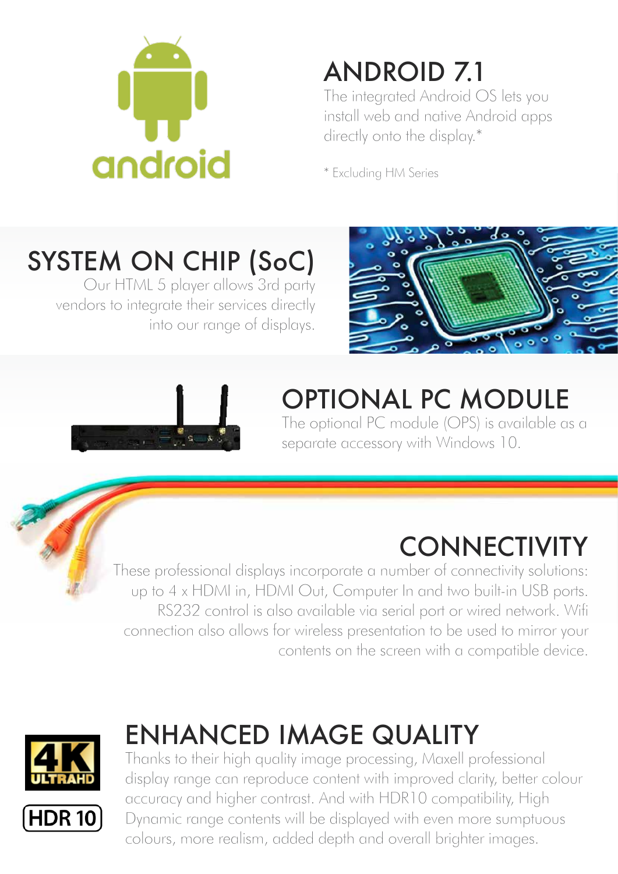

#### ANDROID 7.1

The integrated Android OS lets you install web and native Android apps directly onto the display.\*

\* Excluding HM Series

## SYSTEM ON CHIP (SoC)

Our HTML 5 player allows 3rd party vendors to integrate their services directly into our range of displays.





### OPTIONAL PC MODULE

The optional PC module (OPS) is available as a separate accessory with Windows 10.

### **CONNECTIVITY**

These professional displays incorporate a number of connectivity solutions: up to 4 x HDMI in, HDMI Out, Computer In and two built-in USB ports. RS232 control is also available via serial port or wired network. Wifi connection also allows for wireless presentation to be used to mirror your contents on the screen with a compatible device.



#### ENHANCED IMAGE QUALITY

Thanks to their high quality image processing, Maxell professional display range can reproduce content with improved clarity, better colour accuracy and higher contrast. And with HDR10 compatibility, High Dynamic range contents will be displayed with even more sumptuous colours, more realism, added depth and overall brighter images.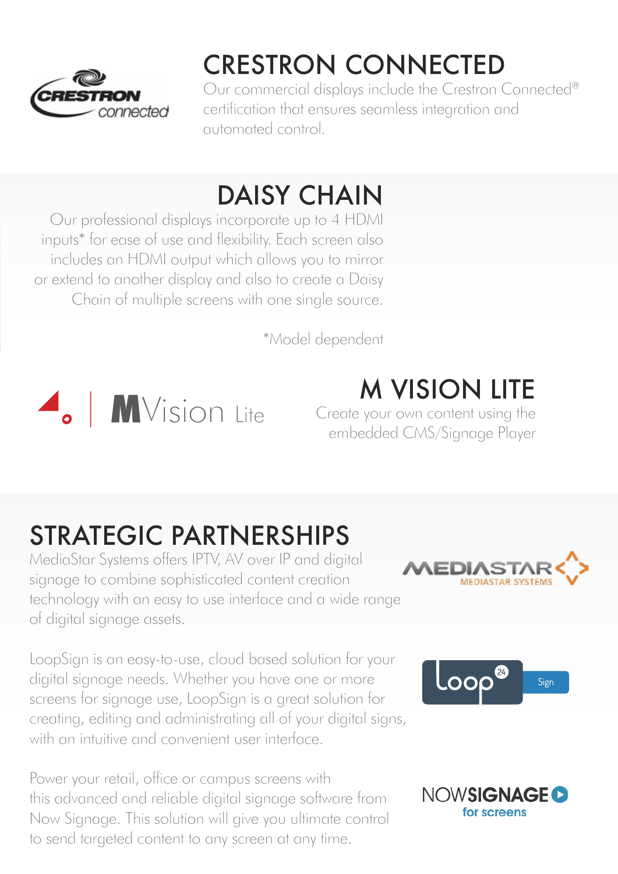

### CRESTRON CONNECTED

Our commercial displays include the Crestron Connected® certification that ensures seamless integration and automated control.

#### DAISY CHAIN

Our professional displays incorporate up to 4 HDMI inputs\* for ease of use and flexibility. Each screen also includes an HDMI output which allows you to mirror or extend to another display and also to create a Daisy Chain of multiple screens with one single source.

\*Model dependent



#### M VISION LITE

Create your own content using the embedded CMS/Signage Player

#### STRATEGIC PARTNERSHIPS

MediaStar Systems offers IPTV, AV over IP and digital signage to combine sophisticated content creation technology with an easy to use interface and a wide range of digital signage assets.

LoopSign is an easy-to-use, cloud based solution for your digital signage needs. Whether you have one or more screens for signage use, LoopSign is a great solution for creating, editing and administrating all of your digital signs, with an intuitive and convenient user interface.

Power your retail, office or campus screens with this advanced and reliable digital signage software from Now Signage. This solution will give you ultimate control to send targeted content to any screen at any time.





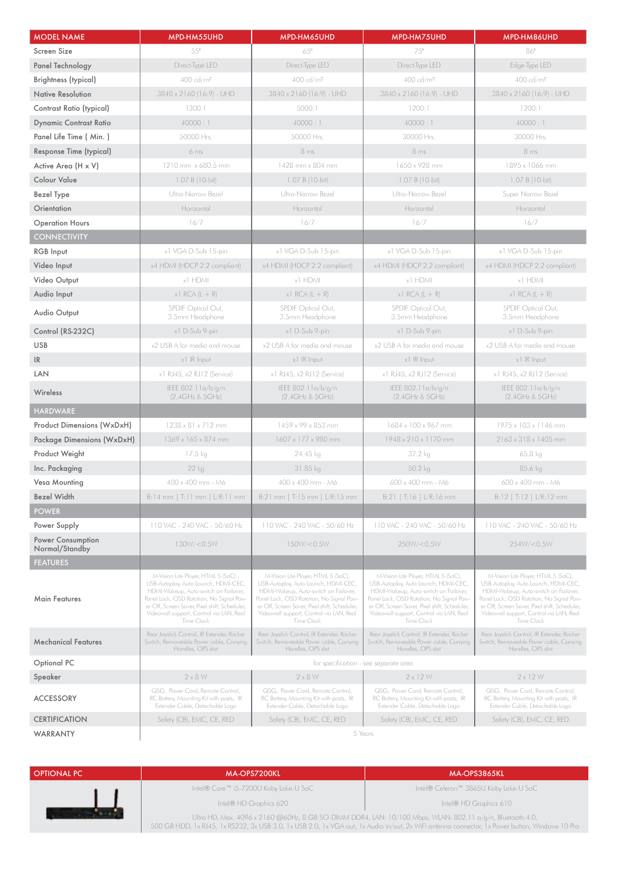| <b>MODEL NAME</b>                   | MPD-HM55UHD                                                                                                                                                                                                                                                                 | MPD-HM65UHD                                                                                                                                                                                                                                                                 | MPD-HM75UHD                                                                                                                                                                                                                                                                 | MPD-HM86UHD                                                                                                                                                                                                                                                                 |
|-------------------------------------|-----------------------------------------------------------------------------------------------------------------------------------------------------------------------------------------------------------------------------------------------------------------------------|-----------------------------------------------------------------------------------------------------------------------------------------------------------------------------------------------------------------------------------------------------------------------------|-----------------------------------------------------------------------------------------------------------------------------------------------------------------------------------------------------------------------------------------------------------------------------|-----------------------------------------------------------------------------------------------------------------------------------------------------------------------------------------------------------------------------------------------------------------------------|
| Screen Size                         | 55"                                                                                                                                                                                                                                                                         | 65"                                                                                                                                                                                                                                                                         | 75"                                                                                                                                                                                                                                                                         | 86"                                                                                                                                                                                                                                                                         |
| Panel Technology                    | Direct-Type LED                                                                                                                                                                                                                                                             | Direct-Type LED                                                                                                                                                                                                                                                             | Direct-Type LED                                                                                                                                                                                                                                                             | Edge-Type LED                                                                                                                                                                                                                                                               |
| Brightness (typical)                | 400 cd/m <sup>2</sup>                                                                                                                                                                                                                                                       | 400 cd/m <sup>2</sup>                                                                                                                                                                                                                                                       | 400 cd/m <sup>2</sup>                                                                                                                                                                                                                                                       | 400 cd/m <sup>2</sup>                                                                                                                                                                                                                                                       |
| Native Resolution                   | 3840 x 2160 (16:9) - UHD                                                                                                                                                                                                                                                    | 3840 x 2160 (16:9) - UHD                                                                                                                                                                                                                                                    | 3840 x 2160 (16:9) - UHD                                                                                                                                                                                                                                                    | 3840 x 2160 (16:9) - UHD                                                                                                                                                                                                                                                    |
| Contrast Ratio (typical)            | 1300:1                                                                                                                                                                                                                                                                      | 5000:1                                                                                                                                                                                                                                                                      | 1200:1                                                                                                                                                                                                                                                                      | 1200:1                                                                                                                                                                                                                                                                      |
| <b>Dynamic Contrast Ratio</b>       | 40000:1                                                                                                                                                                                                                                                                     | 40000:1                                                                                                                                                                                                                                                                     | 40000:1                                                                                                                                                                                                                                                                     | 40000:1                                                                                                                                                                                                                                                                     |
| Panel Life Time (Min.)              | 50000 Hrs.                                                                                                                                                                                                                                                                  | 50000 Hrs.                                                                                                                                                                                                                                                                  | 30000 Hrs.                                                                                                                                                                                                                                                                  | 30000 Hrs.                                                                                                                                                                                                                                                                  |
| Response Time (typical)             | 6 <sub>ms</sub>                                                                                                                                                                                                                                                             | 8 <sub>ms</sub>                                                                                                                                                                                                                                                             | 8 <sub>ms</sub>                                                                                                                                                                                                                                                             | 8 <sub>ms</sub>                                                                                                                                                                                                                                                             |
| Active Area (H x V)                 | 1210 mm x 680.5 mm                                                                                                                                                                                                                                                          | 1428 mm x 804 mm                                                                                                                                                                                                                                                            | 1650 x 928 mm                                                                                                                                                                                                                                                               | 1895 x 1066 mm                                                                                                                                                                                                                                                              |
| <b>Colour Value</b>                 | 1.07 B (10-bit)                                                                                                                                                                                                                                                             | 1.07 B (10-bit)                                                                                                                                                                                                                                                             | 1.07 B (10-bit)                                                                                                                                                                                                                                                             | 1.07 B (10-bit)                                                                                                                                                                                                                                                             |
| <b>Bezel Type</b>                   | Ultra-Narrow Bezel                                                                                                                                                                                                                                                          | Ultra-Narrow Bezel                                                                                                                                                                                                                                                          | Ultra-Narrow Bezel                                                                                                                                                                                                                                                          | Super Narrow Bezel                                                                                                                                                                                                                                                          |
| Orientation                         | Horizontal                                                                                                                                                                                                                                                                  | Horizontal                                                                                                                                                                                                                                                                  | Horizontal                                                                                                                                                                                                                                                                  | Horizontal                                                                                                                                                                                                                                                                  |
| <b>Operation Hours</b>              | 16/7                                                                                                                                                                                                                                                                        | 16/7                                                                                                                                                                                                                                                                        | 16/7                                                                                                                                                                                                                                                                        | 16/7                                                                                                                                                                                                                                                                        |
| <b>CONNECTIVITY</b>                 |                                                                                                                                                                                                                                                                             |                                                                                                                                                                                                                                                                             |                                                                                                                                                                                                                                                                             |                                                                                                                                                                                                                                                                             |
| <b>RGB</b> Input                    | x1 VGA D-Sub 15-pin                                                                                                                                                                                                                                                         | x1 VGA D-Sub 15-pin                                                                                                                                                                                                                                                         | x1 VGA D-Sub 15-pin                                                                                                                                                                                                                                                         | x1 VGA D-Sub 15-pin                                                                                                                                                                                                                                                         |
| Video Input                         | x4 HDMI (HDCP 2.2 compliant)                                                                                                                                                                                                                                                | x4 HDMI (HDCP 2.2 compliant)                                                                                                                                                                                                                                                | x4 HDMI (HDCP 2.2 compliant)                                                                                                                                                                                                                                                | x4 HDMI (HDCP 2.2 compliant)                                                                                                                                                                                                                                                |
| Video Output                        | x1 HDMI                                                                                                                                                                                                                                                                     | x1 HDMI                                                                                                                                                                                                                                                                     | x1 HDMI                                                                                                                                                                                                                                                                     | x1 HDMI                                                                                                                                                                                                                                                                     |
| Audio Input                         | $x$ ] RCA (L + R)                                                                                                                                                                                                                                                           | $x1$ RCA (L + R)                                                                                                                                                                                                                                                            | $x1$ RCA (L + R)                                                                                                                                                                                                                                                            | $x1$ RCA (L + R)                                                                                                                                                                                                                                                            |
| Audio Output                        | SPDIF Optical Out,<br>3.5mm Headphone                                                                                                                                                                                                                                       | SPDIF Optical Out,<br>3.5mm Headphone                                                                                                                                                                                                                                       | SPDIF Optical Out,<br>3.5mm Headphone                                                                                                                                                                                                                                       | SPDIF Optical Out,<br>3.5mm Headphone                                                                                                                                                                                                                                       |
| Control (RS-232C)                   | x1 D-Sub 9-pin                                                                                                                                                                                                                                                              | x1 D-Sub 9-pin                                                                                                                                                                                                                                                              | x1 D-Sub 9-pin                                                                                                                                                                                                                                                              | x1 D-Sub 9-pin                                                                                                                                                                                                                                                              |
| <b>USB</b>                          | x2 USB A for media and mouse                                                                                                                                                                                                                                                | x2 USB A for media and mouse                                                                                                                                                                                                                                                | x2 USB A for media and mouse                                                                                                                                                                                                                                                | x2 USB A for media and mouse                                                                                                                                                                                                                                                |
| IR                                  | x1 IR Input                                                                                                                                                                                                                                                                 | x1 IR Input                                                                                                                                                                                                                                                                 | x1 IR Input                                                                                                                                                                                                                                                                 | x1 IR Input                                                                                                                                                                                                                                                                 |
| <b>LAN</b>                          | x1 RJ45, x2 RJ12 (Service)                                                                                                                                                                                                                                                  | x1 RJ45, x2 RJ12 (Service)                                                                                                                                                                                                                                                  | x1 RJ45, x2 RJ12 (Service)                                                                                                                                                                                                                                                  | x1 RJ45, x2 RJ12 (Service)                                                                                                                                                                                                                                                  |
| Wireless                            | IEEE 802.11a/b/g/n<br>(2.4GHz & 5GHz)                                                                                                                                                                                                                                       | IEEE 802.11a/b/g/n<br>(2.4GHz & 5GHz)                                                                                                                                                                                                                                       | IEEE 802.11a/b/g/n<br>(2.4GHz & 5GHz)                                                                                                                                                                                                                                       | IEEE 802.11a/b/g/n<br>(2.4GHz & 5GHz)                                                                                                                                                                                                                                       |
| <b>HARDWARE</b>                     |                                                                                                                                                                                                                                                                             |                                                                                                                                                                                                                                                                             |                                                                                                                                                                                                                                                                             |                                                                                                                                                                                                                                                                             |
| Product Dimensions (WxDxH)          | 1238 x 81 x 712 mm                                                                                                                                                                                                                                                          | 1459 x 99 x 853 mm                                                                                                                                                                                                                                                          | 1684 x 100 x 967 mm                                                                                                                                                                                                                                                         | 1975 x 103 x 1146 mm                                                                                                                                                                                                                                                        |
| Package Dimensions (WxDxH)          | 1369 x 165 x 874 mm                                                                                                                                                                                                                                                         | 1607 x 177 x 980 mm                                                                                                                                                                                                                                                         | 1948 x 210 x 1170 mm                                                                                                                                                                                                                                                        | $2163 \times 318 \times 1405$ mm                                                                                                                                                                                                                                            |
| Product Weight                      | 17.5 kg                                                                                                                                                                                                                                                                     | 24.45 kg                                                                                                                                                                                                                                                                    | 37.2 kg                                                                                                                                                                                                                                                                     | 65.8 kg                                                                                                                                                                                                                                                                     |
| Inc. Packaging                      | $22$ kg                                                                                                                                                                                                                                                                     | 31.85 kg                                                                                                                                                                                                                                                                    | 50.2 kg                                                                                                                                                                                                                                                                     | 85.6 kg                                                                                                                                                                                                                                                                     |
| Vesa Mounting                       | 400 x 400 mm - M6                                                                                                                                                                                                                                                           | 400 x 400 mm - M6                                                                                                                                                                                                                                                           | 600 x 400 mm - M6                                                                                                                                                                                                                                                           | 600 x 400 mm - M6                                                                                                                                                                                                                                                           |
| Bezel Width                         | B:14 mm   T:11 mm   L/R:11 mm                                                                                                                                                                                                                                               | B:21 mm   T:15 mm   L/R:15 mm                                                                                                                                                                                                                                               | B:21   T:16   L/R:16 mm                                                                                                                                                                                                                                                     | B:12   T:12   L/R:12 mm                                                                                                                                                                                                                                                     |
| <b>POWER</b>                        |                                                                                                                                                                                                                                                                             |                                                                                                                                                                                                                                                                             |                                                                                                                                                                                                                                                                             |                                                                                                                                                                                                                                                                             |
| Power Supply                        | 110 VAC - 240 VAC - 50/60 Hz                                                                                                                                                                                                                                                | 110 VAC - 240 VAC - 50/60 Hz                                                                                                                                                                                                                                                | 110 VAC - 240 VAC - 50/60 Hz                                                                                                                                                                                                                                                | 110 VAC - 240 VAC - 50/60 Hz                                                                                                                                                                                                                                                |
| Power Consumption<br>Normal/Standby | 130W/<0.5W                                                                                                                                                                                                                                                                  | 150W/<0.5W                                                                                                                                                                                                                                                                  | 250W/<0.5W                                                                                                                                                                                                                                                                  | 254W/<0.5W                                                                                                                                                                                                                                                                  |
| <b>FEATURES</b>                     |                                                                                                                                                                                                                                                                             |                                                                                                                                                                                                                                                                             |                                                                                                                                                                                                                                                                             |                                                                                                                                                                                                                                                                             |
| Main Features                       | M-Vision Lite Player, HTML 5 (SoC),<br>USB-Autoplay, Auto Launch, HDMI-CEC,<br>HDMI-Wakeup, Auto-switch on Failover,<br>Panel Lock, OSD Rotation, No Signal Pow-<br>er Off, Screen Saver, Pixel shift, Scheduler,<br>Videowall support, Control via LAN, Real<br>Time Clock | M-Vision Lite Player, HTML 5 (SoC),<br>USB-Autoplay, Auto Launch, HDMI-CEC,<br>HDMI-Wakeup, Auto-switch on Failover,<br>Panel Lock, OSD Rotation, No Signal Pow-<br>er Off, Screen Saver, Pixel shift, Scheduler,<br>Videowall support, Control via LAN, Real<br>Time Clock | M-Vision Lite Player, HTML 5 (SoC),<br>USB-Autoplay, Auto Launch, HDMI-CEC,<br>HDMI-Wakeup, Auto-switch on Failover,<br>Panel Lock, OSD Rotation, No Signal Pow-<br>er Off, Screen Saver, Pixel shift, Scheduler,<br>Videowall support, Control via LAN, Real<br>Time Clock | M-Vision Lite Player, HTML 5 (SoC),<br>USB-Autoplay, Auto Launch, HDMI-CEC,<br>HDMI-Wakeup, Auto-switch on Failover,<br>Panel Lock, OSD Rotation, No Signal Pow-<br>er Off, Screen Saver, Pixel shift, Scheduler,<br>Videowall support, Control via LAN, Real<br>Time Clock |
| <b>Mechanical Features</b>          | Rear Joystick Control, IR Extender, Rocker<br>Switch, Removeable Power cable, Carrying<br>Handles, OPS slot                                                                                                                                                                 | Rear Joystick Control, IR Extender, Rocker<br>Switch, Removeable Power cable, Carrying<br>Handles, OPS slot                                                                                                                                                                 | Rear Joystick Control, IR Extender, Rocker<br>Switch, Removeable Power cable, Carrying<br>Handles, OPS slot                                                                                                                                                                 | Rear Joystick Control, IR Extender, Rocker<br>Switch, Removeable Power cable, Carrying<br>Handles, OPS slot                                                                                                                                                                 |
| Optional PC                         | for specification - see separate area                                                                                                                                                                                                                                       |                                                                                                                                                                                                                                                                             |                                                                                                                                                                                                                                                                             |                                                                                                                                                                                                                                                                             |
| Speaker                             | $2 \times 8$ W                                                                                                                                                                                                                                                              | $2 \times 8$ W                                                                                                                                                                                                                                                              | $2 \times 12$ W                                                                                                                                                                                                                                                             | $2 \times 12$ W                                                                                                                                                                                                                                                             |
| <b>ACCESSORY</b>                    | QSG, Power Cord, Remote Control,<br>RC Battery, Mounting Kit with posts, IR<br>Extender Cable, Detachable Logo                                                                                                                                                              | QSG, Power Cord, Remote Control,<br>RC Battery, Mounting Kit with posts, IR<br>Extender Cable, Detachable Logo                                                                                                                                                              | QSG, Power Cord, Remote Control,<br>RC Battery, Mounting Kit with posts, IR<br>Extender Cable, Detachable Logo                                                                                                                                                              | QSG, Power Cord, Remote Control,<br>RC Battery, Mounting Kit with posts, IR<br>Extender Cable, Detachable Logo                                                                                                                                                              |
| <b>CERTIFICATION</b>                | Safety (CB), EMC, CE, RED                                                                                                                                                                                                                                                   | Safety (CB), EMC, CE, RED                                                                                                                                                                                                                                                   | Safety (CB), EMC, CE, RED                                                                                                                                                                                                                                                   | Safety (CB), EMC, CE, RED                                                                                                                                                                                                                                                   |
| WARRANTY                            | 5 Years                                                                                                                                                                                                                                                                     |                                                                                                                                                                                                                                                                             |                                                                                                                                                                                                                                                                             |                                                                                                                                                                                                                                                                             |

OPTIONAL PC ACCORDING THE CONTRACT OF THE CONTRACT OF THE CONTRACT OF THE CONTRACT OF THE CONTRACT OF THE CONTRACT OF THE CONTRACT OF THE CONTRACT OF THE CONTRACT OF THE CONTRACT OF THE CONTRACT OF THE CONTRACT OF THE CONT Intel® Core™ i5-7200U Kaby Lake-U SoC Intel® Celeron™ 3865U Kaby Lake-U SoC إراح Intel® HD Graphics 620 Intel® HD Graphics 610 Ultra HD, Max. 4096 x 2160 @60Hz, 8 GB SO-DIMM DDR4, LAN: 10/100 Mbps, WLAN: 802.11 a/g/n, Bluetooth 4.0,

500 GB HDD, 1x RJ45, 1x RS232, 3x USB 3.0, 1x USB 2.0, 1x VGA out, 1x Audio in/out, 2x WiFi antenna connector, 1x Power button, Windows 10 Pro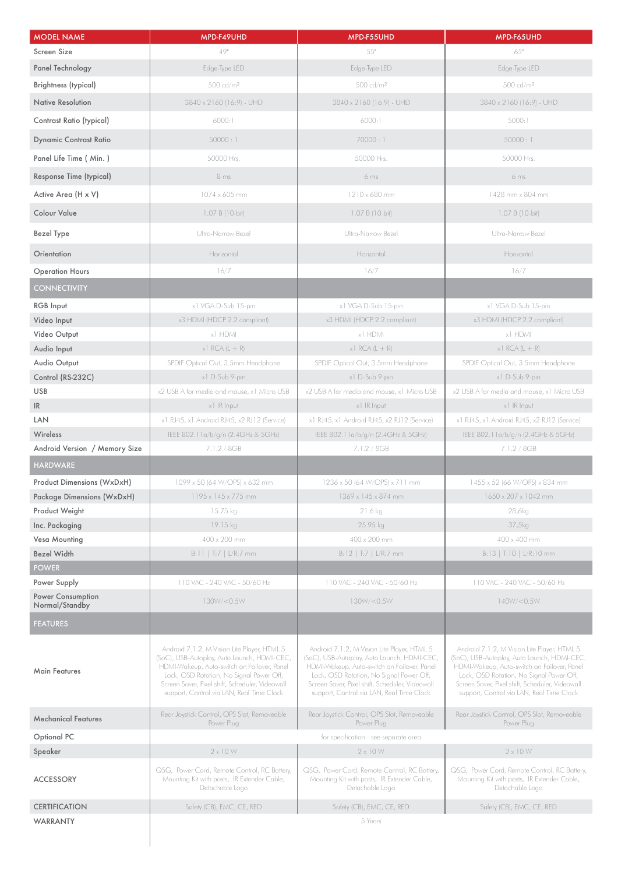| <b>MODEL NAME</b>                        | MPD-F49UHD                                                                                                                                                                                                                                                                            | MPD-F55UHD                                                                                                                                                                                                                                                                            | MPD-F65UHD                                                                                                                                                                                                                                                                            |
|------------------------------------------|---------------------------------------------------------------------------------------------------------------------------------------------------------------------------------------------------------------------------------------------------------------------------------------|---------------------------------------------------------------------------------------------------------------------------------------------------------------------------------------------------------------------------------------------------------------------------------------|---------------------------------------------------------------------------------------------------------------------------------------------------------------------------------------------------------------------------------------------------------------------------------------|
| Screen Size                              | 49"                                                                                                                                                                                                                                                                                   | $55"$                                                                                                                                                                                                                                                                                 | 65"                                                                                                                                                                                                                                                                                   |
| Panel Technology                         | Edge-Type LED                                                                                                                                                                                                                                                                         | Edge-Type LED                                                                                                                                                                                                                                                                         | Edge-Type LED                                                                                                                                                                                                                                                                         |
| Brightness (typical)                     | 500 cd/m <sup>2</sup>                                                                                                                                                                                                                                                                 | 500 cd/m <sup>2</sup>                                                                                                                                                                                                                                                                 | 500 cd/m <sup>2</sup>                                                                                                                                                                                                                                                                 |
| <b>Native Resolution</b>                 | 3840 x 2160 (16:9) - UHD                                                                                                                                                                                                                                                              | 3840 x 2160 (16:9) - UHD                                                                                                                                                                                                                                                              | 3840 x 2160 (16:9) - UHD                                                                                                                                                                                                                                                              |
| Contrast Ratio (typical)                 | 6000:1                                                                                                                                                                                                                                                                                | 6000:1                                                                                                                                                                                                                                                                                | 5000:1                                                                                                                                                                                                                                                                                |
| <b>Dynamic Contrast Ratio</b>            | 50000:1                                                                                                                                                                                                                                                                               | 70000:1                                                                                                                                                                                                                                                                               | 50000:1                                                                                                                                                                                                                                                                               |
| Panel Life Time ( Min. )                 | 50000 Hrs.                                                                                                                                                                                                                                                                            | 50000 Hrs.                                                                                                                                                                                                                                                                            | 50000 Hrs.                                                                                                                                                                                                                                                                            |
| Response Time (typical)                  | 8 <sub>ms</sub>                                                                                                                                                                                                                                                                       | 6ms                                                                                                                                                                                                                                                                                   | 6 <sub>ms</sub>                                                                                                                                                                                                                                                                       |
| Active Area (H x V)                      | 1074 x 605 mm                                                                                                                                                                                                                                                                         | 1210 x 680 mm                                                                                                                                                                                                                                                                         | 1428 mm x 804 mm                                                                                                                                                                                                                                                                      |
| <b>Colour Value</b>                      | 1.07 B (10-bit)                                                                                                                                                                                                                                                                       | 1.07 B (10-bit)                                                                                                                                                                                                                                                                       | 1.07 B (10-bit)                                                                                                                                                                                                                                                                       |
| Bezel Type                               | Ultra-Narrow Bezel                                                                                                                                                                                                                                                                    | Ultra-Narrow Bezel                                                                                                                                                                                                                                                                    | Ultra-Narrow Bezel                                                                                                                                                                                                                                                                    |
| Orientation                              | Horizontal                                                                                                                                                                                                                                                                            | Horizontal                                                                                                                                                                                                                                                                            | Horizontal                                                                                                                                                                                                                                                                            |
| <b>Operation Hours</b>                   | 16/7                                                                                                                                                                                                                                                                                  | 16/7                                                                                                                                                                                                                                                                                  | 16/7                                                                                                                                                                                                                                                                                  |
| <b>CONNECTIVITY</b>                      |                                                                                                                                                                                                                                                                                       |                                                                                                                                                                                                                                                                                       |                                                                                                                                                                                                                                                                                       |
| <b>RGB</b> Input                         | x1 VGA D-Sub 15-pin                                                                                                                                                                                                                                                                   | x1 VGA D-Sub 15-pin                                                                                                                                                                                                                                                                   | x1 VGA D-Sub 15-pin                                                                                                                                                                                                                                                                   |
| Video Input                              | x3 HDMI (HDCP 2.2 compliant)                                                                                                                                                                                                                                                          | x3 HDMI (HDCP 2.2 compliant)                                                                                                                                                                                                                                                          | x3 HDMI (HDCP 2.2 compliant)                                                                                                                                                                                                                                                          |
| Video Output                             | x1 HDMI                                                                                                                                                                                                                                                                               | x1 HDMI                                                                                                                                                                                                                                                                               | x1 HDMI                                                                                                                                                                                                                                                                               |
| Audio Input                              | $x1$ RCA (L + R)                                                                                                                                                                                                                                                                      | $x1$ RCA (L + R)                                                                                                                                                                                                                                                                      | $x1$ RCA (L + R)                                                                                                                                                                                                                                                                      |
| Audio Output                             | SPDIF Optical Out, 3.5mm Headphone                                                                                                                                                                                                                                                    | SPDIF Optical Out, 3.5mm Headphone                                                                                                                                                                                                                                                    | SPDIF Optical Out, 3.5mm Headphone                                                                                                                                                                                                                                                    |
| Control (RS-232C)                        | x1 D-Sub 9-pin                                                                                                                                                                                                                                                                        | x1 D-Sub 9-pin                                                                                                                                                                                                                                                                        | x1 D-Sub 9-pin                                                                                                                                                                                                                                                                        |
| <b>USB</b>                               | x2 USB A for media and mouse, x1 Micro USB                                                                                                                                                                                                                                            | x2 USB A for media and mouse, x1 Micro USB                                                                                                                                                                                                                                            | x2 USB A for media and mouse, x1 Micro USB                                                                                                                                                                                                                                            |
| IR                                       | x1 IR Input                                                                                                                                                                                                                                                                           | x1 IR Input                                                                                                                                                                                                                                                                           | x1 IR Input                                                                                                                                                                                                                                                                           |
| <b>LAN</b>                               | x1 RJ45, x1 Android RJ45, x2 RJ12 (Service)                                                                                                                                                                                                                                           | x1 RJ45, x1 Android RJ45, x2 RJ12 (Service)                                                                                                                                                                                                                                           | x1 RJ45, x1 Android RJ45, x2 RJ12 (Service)                                                                                                                                                                                                                                           |
| Wireless                                 | IEEE 802.11a/b/g/n (2.4GHz & 5GHz)                                                                                                                                                                                                                                                    | IEEE 802.11a/b/g/n (2.4GHz & 5GHz)                                                                                                                                                                                                                                                    | IEEE 802.11a/b/g/n (2.4GHz & 5GHz)                                                                                                                                                                                                                                                    |
| Android Version / Memory Size            | 7.1.2 / 8GB                                                                                                                                                                                                                                                                           | 7.1.2 / 8GB                                                                                                                                                                                                                                                                           | 7.1.2 / 8GB                                                                                                                                                                                                                                                                           |
| <b>HARDWARE</b>                          |                                                                                                                                                                                                                                                                                       |                                                                                                                                                                                                                                                                                       |                                                                                                                                                                                                                                                                                       |
| Product Dimensions (WxDxH)               | 1099 x 50 (64 W/OPS) x 632 mm                                                                                                                                                                                                                                                         | 1236 x 50 (64 W/OPS) x 711 mm                                                                                                                                                                                                                                                         | 1455 x 52 (66 W/OPS) x 834 mm                                                                                                                                                                                                                                                         |
| Package Dimensions (WxDxH)               | 1195 x 145 x 775 mm                                                                                                                                                                                                                                                                   | 1369 x 145 x 874 mm                                                                                                                                                                                                                                                                   | 1650 x 207 x 1042 mm                                                                                                                                                                                                                                                                  |
| Product Weight                           | 15.75 kg                                                                                                                                                                                                                                                                              | 21.6 kg                                                                                                                                                                                                                                                                               | 28,6kg                                                                                                                                                                                                                                                                                |
| Inc. Packaging                           | 19.15 kg                                                                                                                                                                                                                                                                              | 25.95 kg                                                                                                                                                                                                                                                                              | 37,5kq                                                                                                                                                                                                                                                                                |
| Vesa Mounting                            | 400 x 200 mm                                                                                                                                                                                                                                                                          | 400 x 200 mm                                                                                                                                                                                                                                                                          | 400 x 400 mm                                                                                                                                                                                                                                                                          |
| <b>Bezel Width</b>                       | B:11   T:7   L/R:7 mm                                                                                                                                                                                                                                                                 | $B:12$   T:7   L/R:7 mm                                                                                                                                                                                                                                                               | $B:13$   T:10   L/R:10 mm                                                                                                                                                                                                                                                             |
| <b>POWER</b>                             |                                                                                                                                                                                                                                                                                       |                                                                                                                                                                                                                                                                                       |                                                                                                                                                                                                                                                                                       |
| Power Supply<br><b>Power Consumption</b> | 110 VAC - 240 VAC - 50/60 Hz                                                                                                                                                                                                                                                          | 110 VAC - 240 VAC - 50/60 Hz                                                                                                                                                                                                                                                          | 110 VAC - 240 VAC - 50/60 Hz                                                                                                                                                                                                                                                          |
| Normal/Standby                           | 130W/<0.5W                                                                                                                                                                                                                                                                            | 130W/<0.5W                                                                                                                                                                                                                                                                            | 140W / < 0.5W                                                                                                                                                                                                                                                                         |
| <b>FEATURES</b>                          |                                                                                                                                                                                                                                                                                       |                                                                                                                                                                                                                                                                                       |                                                                                                                                                                                                                                                                                       |
| <b>Main Features</b>                     | Android 7.1.2, M-Vision Lite Player, HTML 5<br>(SoC), USB-Autoplay, Auto Launch, HDMI-CEC,<br>HDMI-Wakeup, Auto-switch on Failover, Panel<br>Lock, OSD Rotation, No Signal Power Off,<br>Screen Saver, Pixel shift, Scheduler, Videowall<br>support, Control via LAN, Real Time Clock | Android 7.1.2, M-Vision Lite Player, HTML 5<br>(SoC), USB-Autoplay, Auto Launch, HDMI-CEC,<br>HDMI-Wakeup, Auto-switch on Failover, Panel<br>Lock, OSD Rotation, No Signal Power Off,<br>Screen Saver, Pixel shift, Scheduler, Videowall<br>support, Control via LAN, Real Time Clock | Android 7.1.2, M-Vision Lite Player, HTML 5<br>(SoC), USB-Autoplay, Auto Launch, HDMI-CEC,<br>HDMI-Wakeup, Auto-switch on Failover, Panel<br>Lock, OSD Rotation, No Signal Power Off,<br>Screen Saver, Pixel shift, Scheduler, Videowall<br>support, Control via LAN, Real Time Clock |
| <b>Mechanical Features</b>               | Rear Joystick Control, OPS Slot, Removeable<br>Power Plug                                                                                                                                                                                                                             | Rear Joystick Control, OPS Slot, Removeable<br>Power Plug                                                                                                                                                                                                                             | Rear Joystick Control, OPS Slot, Removeable<br>Power Plug                                                                                                                                                                                                                             |
| Optional PC                              | for specification - see separate area                                                                                                                                                                                                                                                 |                                                                                                                                                                                                                                                                                       |                                                                                                                                                                                                                                                                                       |
| Speaker                                  | $2 \times 10 W$                                                                                                                                                                                                                                                                       | $2 \times 10 W$                                                                                                                                                                                                                                                                       | $2 \times 10 W$                                                                                                                                                                                                                                                                       |
| <b>ACCESSORY</b>                         | QSG, Power Cord, Remote Control, RC Battery,<br>Mounting Kit with posts, IR Extender Cable,<br>Detachable Logo                                                                                                                                                                        | QSG, Power Cord, Remote Control, RC Battery,<br>Mounting Kit with posts, IR Extender Cable,<br>Detachable Logo                                                                                                                                                                        | QSG, Power Cord, Remote Control, RC Battery,<br>Mounting Kit with posts, IR Extender Cable,<br>Detachable Logo                                                                                                                                                                        |
| <b>CERTIFICATION</b>                     | Safety (CB), EMC, CE, RED                                                                                                                                                                                                                                                             | Safety (CB), EMC, CE, RED                                                                                                                                                                                                                                                             | Safety (CB), EMC, CE, RED                                                                                                                                                                                                                                                             |
| <b>WARRANTY</b>                          | 5 Years                                                                                                                                                                                                                                                                               |                                                                                                                                                                                                                                                                                       |                                                                                                                                                                                                                                                                                       |
|                                          |                                                                                                                                                                                                                                                                                       |                                                                                                                                                                                                                                                                                       |                                                                                                                                                                                                                                                                                       |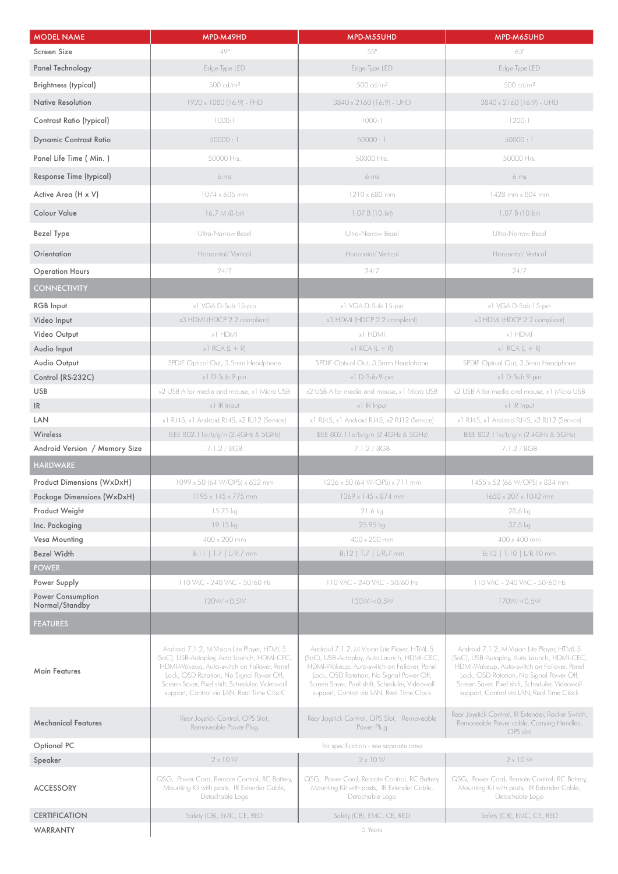| <b>MODEL NAME</b>                   | MPD-M49HD                                                                                                                                                                                                                                                                             | MPD-M55UHD                                                                                                                                                                                                                                                                            | MPD-M65UHD                                                                                                                                                                                                                                                                            |
|-------------------------------------|---------------------------------------------------------------------------------------------------------------------------------------------------------------------------------------------------------------------------------------------------------------------------------------|---------------------------------------------------------------------------------------------------------------------------------------------------------------------------------------------------------------------------------------------------------------------------------------|---------------------------------------------------------------------------------------------------------------------------------------------------------------------------------------------------------------------------------------------------------------------------------------|
| Screen Size                         | 49"                                                                                                                                                                                                                                                                                   | 55"                                                                                                                                                                                                                                                                                   | 65"                                                                                                                                                                                                                                                                                   |
| Panel Technology                    | Edge-Type LED                                                                                                                                                                                                                                                                         | Edge-Type LED                                                                                                                                                                                                                                                                         | Edge-Type LED                                                                                                                                                                                                                                                                         |
| <b>Brightness (typical)</b>         | 500 cd/m <sup>2</sup>                                                                                                                                                                                                                                                                 | 500 cd/m <sup>2</sup>                                                                                                                                                                                                                                                                 | 500 cd/m <sup>2</sup>                                                                                                                                                                                                                                                                 |
| Native Resolution                   | 1920 x 1080 (16:9) - FHD                                                                                                                                                                                                                                                              | 3840 x 2160 (16:9) - UHD                                                                                                                                                                                                                                                              | 3840 x 2160 (16:9) - UHD                                                                                                                                                                                                                                                              |
| Contrast Ratio (typical)            | 1000:1                                                                                                                                                                                                                                                                                | 1000:1                                                                                                                                                                                                                                                                                | 1200:1                                                                                                                                                                                                                                                                                |
|                                     |                                                                                                                                                                                                                                                                                       |                                                                                                                                                                                                                                                                                       |                                                                                                                                                                                                                                                                                       |
| <b>Dynamic Contrast Ratio</b>       | 50000:1                                                                                                                                                                                                                                                                               | 50000:1                                                                                                                                                                                                                                                                               | 50000:1                                                                                                                                                                                                                                                                               |
| Panel Life Time ( Min.)             | 50000 Hrs.                                                                                                                                                                                                                                                                            | 50000 Hrs.                                                                                                                                                                                                                                                                            | 50000 Hrs.                                                                                                                                                                                                                                                                            |
| Response Time (typical)             | 6ms                                                                                                                                                                                                                                                                                   | 6 <sub>ms</sub>                                                                                                                                                                                                                                                                       | 6 <sub>ms</sub>                                                                                                                                                                                                                                                                       |
| Active Area (H x V)                 | 1074 x 605 mm                                                                                                                                                                                                                                                                         | 1210 x 680 mm                                                                                                                                                                                                                                                                         | 1428 mm x 804 mm                                                                                                                                                                                                                                                                      |
| <b>Colour Value</b>                 | 16.7 M (8-bit)                                                                                                                                                                                                                                                                        | 1.07 B (10-bit)                                                                                                                                                                                                                                                                       | 1.07 B (10-bit)                                                                                                                                                                                                                                                                       |
| <b>Bezel Type</b>                   | Ultra-Narrow Bezel                                                                                                                                                                                                                                                                    | Ultra-Narrow Bezel                                                                                                                                                                                                                                                                    | Ultra-Narrow Bezel                                                                                                                                                                                                                                                                    |
| Orientation                         | Horizontal/Vertical                                                                                                                                                                                                                                                                   | Horizontal/Vertical                                                                                                                                                                                                                                                                   | Horizontal/Vertical                                                                                                                                                                                                                                                                   |
| <b>Operation Hours</b>              | 24/7                                                                                                                                                                                                                                                                                  | 24/7                                                                                                                                                                                                                                                                                  | 24/7                                                                                                                                                                                                                                                                                  |
| <b>CONNECTIVITY</b>                 |                                                                                                                                                                                                                                                                                       |                                                                                                                                                                                                                                                                                       |                                                                                                                                                                                                                                                                                       |
| <b>RGB</b> Input                    | x1 VGA D-Sub 15-pin                                                                                                                                                                                                                                                                   | x1 VGA D-Sub 15-pin                                                                                                                                                                                                                                                                   | x1 VGA D-Sub 15-pin                                                                                                                                                                                                                                                                   |
| Video Input                         | x3 HDMI (HDCP 2.2 compliant)                                                                                                                                                                                                                                                          | x3 HDMI (HDCP 2.2 compliant)                                                                                                                                                                                                                                                          | x3 HDMI (HDCP 2.2 compliant)                                                                                                                                                                                                                                                          |
| Video Output                        | x1 HDMI                                                                                                                                                                                                                                                                               | x1 HDMI                                                                                                                                                                                                                                                                               | x1 HDMI                                                                                                                                                                                                                                                                               |
| Audio Input                         | $x1$ RCA (L + R)                                                                                                                                                                                                                                                                      | $x1$ RCA (L + R)                                                                                                                                                                                                                                                                      | $x1$ RCA (L + R)                                                                                                                                                                                                                                                                      |
| Audio Output                        | SPDIF Optical Out, 3.5mm Headphone                                                                                                                                                                                                                                                    | SPDIF Optical Out, 3.5mm Headphone                                                                                                                                                                                                                                                    | SPDIF Optical Out, 3.5mm Headphone                                                                                                                                                                                                                                                    |
| Control (RS-232C)                   | x1 D-Sub 9-pin                                                                                                                                                                                                                                                                        | x1 D-Sub 9-pin                                                                                                                                                                                                                                                                        | x1 D-Sub 9-pin                                                                                                                                                                                                                                                                        |
| <b>USB</b>                          | x2 USB A for media and mouse, x1 Micro USB                                                                                                                                                                                                                                            | x2 USB A for media and mouse, x1 Micro USB                                                                                                                                                                                                                                            | x2 USB A for media and mouse, x1 Micro USB                                                                                                                                                                                                                                            |
| IR                                  | x1 IR Input                                                                                                                                                                                                                                                                           | x1 IR Input                                                                                                                                                                                                                                                                           | x1 IR Input                                                                                                                                                                                                                                                                           |
| LAN                                 | x1 RJ45, x1 Android RJ45, x2 RJ12 (Service)                                                                                                                                                                                                                                           | x1 RJ45, x1 Android RJ45, x2 RJ12 (Service)                                                                                                                                                                                                                                           | x1 RJ45, x1 Android RJ45, x2 RJ12 (Service)                                                                                                                                                                                                                                           |
| Wireless                            | IEEE 802.11a/b/g/n (2.4GHz & 5GHz)                                                                                                                                                                                                                                                    | IEEE 802.11a/b/g/n (2.4GHz & 5GHz)                                                                                                                                                                                                                                                    | IEEE 802.11a/b/g/n (2.4GHz & 5GHz)                                                                                                                                                                                                                                                    |
| Android Version / Memory Size       | 7.1.2 / 8GB                                                                                                                                                                                                                                                                           | 7.1.2 / 8GB                                                                                                                                                                                                                                                                           | 7.1.2 / 8GB                                                                                                                                                                                                                                                                           |
| <b>HARDWARE</b>                     |                                                                                                                                                                                                                                                                                       |                                                                                                                                                                                                                                                                                       |                                                                                                                                                                                                                                                                                       |
| <b>Product Dimensions (WxDxH)</b>   | 1099 x 50 (64 W/OPS) x 632 mm                                                                                                                                                                                                                                                         | 1236 x 50 (64 W/OPS) x 711 mm                                                                                                                                                                                                                                                         | 1455 x 52 (66 W/OPS) x 834 mm                                                                                                                                                                                                                                                         |
| Package Dimensions (WxDxH)          | 1195 x 145 x 775 mm                                                                                                                                                                                                                                                                   | 1369 x 145 x 874 mm                                                                                                                                                                                                                                                                   | 1650 x 207 x 1042 mm                                                                                                                                                                                                                                                                  |
| Product Weight                      | 15.75 kg                                                                                                                                                                                                                                                                              | 21.6 kg                                                                                                                                                                                                                                                                               | 28,6 kg                                                                                                                                                                                                                                                                               |
| Inc. Packaging                      | 19.15 kg                                                                                                                                                                                                                                                                              | 25.95 kg                                                                                                                                                                                                                                                                              | 37,5 kg                                                                                                                                                                                                                                                                               |
| Vesa Mounting                       | 400 x 200 mm                                                                                                                                                                                                                                                                          | 400 x 200 mm                                                                                                                                                                                                                                                                          | 400 x 400 mm                                                                                                                                                                                                                                                                          |
| <b>Bezel Width</b>                  | B:11   T:7   L/R:7 mm                                                                                                                                                                                                                                                                 | $B:12$   T:7   L/R:7 mm                                                                                                                                                                                                                                                               | B:13   T:10   L/R:10 mm                                                                                                                                                                                                                                                               |
| <b>POWER</b>                        |                                                                                                                                                                                                                                                                                       |                                                                                                                                                                                                                                                                                       |                                                                                                                                                                                                                                                                                       |
| Power Supply                        | 110 VAC - 240 VAC - 50/60 Hz                                                                                                                                                                                                                                                          | 110 VAC - 240 VAC - 50/60 Hz                                                                                                                                                                                                                                                          | 110 VAC - 240 VAC - 50/60 Hz                                                                                                                                                                                                                                                          |
| Power Consumption<br>Normal/Standby | 120W/<0.5W                                                                                                                                                                                                                                                                            | 130W/ <sub>0.5W</sub>                                                                                                                                                                                                                                                                 | 170W / < 0.5W                                                                                                                                                                                                                                                                         |
| <b>FEATURES</b>                     |                                                                                                                                                                                                                                                                                       |                                                                                                                                                                                                                                                                                       |                                                                                                                                                                                                                                                                                       |
| <b>Main Features</b>                | Android 7.1.2, M-Vision Lite Player, HTML 5<br>(SoC), USB-Autoplay, Auto Launch, HDMI-CEC,<br>HDMI-Wakeup, Auto-switch on Failover, Panel<br>Lock, OSD Rotation, No Signal Power Off,<br>Screen Saver, Pixel shift, Scheduler, Videowall<br>support, Control via LAN, Real Time ClocK | Android 7.1.2, M-Vision Lite Player, HTML 5<br>(SoC), USB-Autoplay, Auto Launch, HDMI-CEC,<br>HDMI-Wakeup, Auto-switch on Failover, Panel<br>Lock, OSD Rotation, No Signal Power Off,<br>Screen Saver, Pixel shift, Scheduler, Videowall<br>support, Control via LAN, Real Time Clock | Android 7.1.2, M-Vision Lite Player, HTML 5<br>(SoC), USB-Autoplay, Auto Launch, HDMI-CEC,<br>HDMI-Wakeup, Auto-switch on Failover, Panel<br>Lock, OSD Rotation, No Signal Power Off,<br>Screen Saver, Pixel shift, Scheduler, Videowall<br>support, Control via LAN, Real Time Clock |
| <b>Mechanical Features</b>          | Rear Joystick Control, OPS Slot,<br>Removeable Power Plug                                                                                                                                                                                                                             | Rear Joystick Control, OPS Slot, Removeable<br>Power Plug                                                                                                                                                                                                                             | Rear Joystick Control, IR Extender, Rocker Switch,<br>Removeable Power cable, Carrying Handles,<br>OPS slot                                                                                                                                                                           |
| Optional PC                         |                                                                                                                                                                                                                                                                                       | for specification - see separate area                                                                                                                                                                                                                                                 |                                                                                                                                                                                                                                                                                       |
| Speaker                             | $2 \times 10 W$                                                                                                                                                                                                                                                                       | $2 \times 10 W$                                                                                                                                                                                                                                                                       | $2 \times 10 W$                                                                                                                                                                                                                                                                       |
| <b>ACCESSORY</b>                    | QSG, Power Cord, Remote Control, RC Battery,<br>Mounting Kit with posts, IR Extender Cable,<br>Detachable Logo                                                                                                                                                                        | QSG, Power Cord, Remote Control, RC Battery,<br>Mounting Kit with posts, IR Extender Cable,<br>Detachable Logo                                                                                                                                                                        | QSG, Power Cord, Remote Control, RC Battery,<br>Mounting Kit with posts, IR Extender Cable,<br>Detachable Logo                                                                                                                                                                        |
| <b>CERTIFICATION</b>                | Safety (CB), EMC, CE, RED<br>Safety (CB), EMC, CE, RED<br>Safety (CB), EMC, CE, RED                                                                                                                                                                                                   |                                                                                                                                                                                                                                                                                       |                                                                                                                                                                                                                                                                                       |
| <b>WARRANTY</b>                     | 5 Years                                                                                                                                                                                                                                                                               |                                                                                                                                                                                                                                                                                       |                                                                                                                                                                                                                                                                                       |